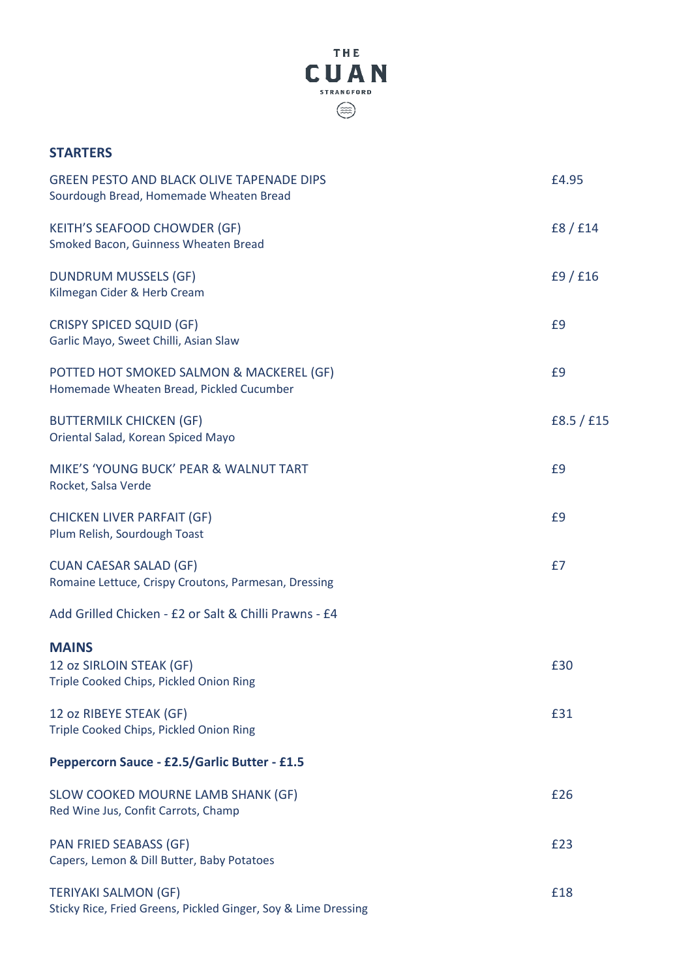

## **STARTERS**

| <b>GREEN PESTO AND BLACK OLIVE TAPENADE DIPS</b><br>Sourdough Bread, Homemade Wheaten Bread   | £4.95      |
|-----------------------------------------------------------------------------------------------|------------|
| <b>KEITH'S SEAFOOD CHOWDER (GF)</b><br>Smoked Bacon, Guinness Wheaten Bread                   | f8/f14     |
| <b>DUNDRUM MUSSELS (GF)</b><br>Kilmegan Cider & Herb Cream                                    | f9/f16     |
| <b>CRISPY SPICED SQUID (GF)</b><br>Garlic Mayo, Sweet Chilli, Asian Slaw                      | £9         |
| POTTED HOT SMOKED SALMON & MACKEREL (GF)<br>Homemade Wheaten Bread, Pickled Cucumber          | £9         |
| <b>BUTTERMILK CHICKEN (GF)</b><br>Oriental Salad, Korean Spiced Mayo                          | f8.5 / f15 |
| MIKE'S 'YOUNG BUCK' PEAR & WALNUT TART<br>Rocket, Salsa Verde                                 | £9         |
| <b>CHICKEN LIVER PARFAIT (GF)</b><br>Plum Relish, Sourdough Toast                             | £9         |
| <b>CUAN CAESAR SALAD (GF)</b><br>Romaine Lettuce, Crispy Croutons, Parmesan, Dressing         | £7         |
| Add Grilled Chicken - £2 or Salt & Chilli Prawns - £4                                         |            |
| <b>MAINS</b><br>12 oz SIRLOIN STEAK (GF)<br>Triple Cooked Chips, Pickled Onion Ring           | £30        |
| 12 oz RIBEYE STEAK (GF)<br>Triple Cooked Chips, Pickled Onion Ring                            | £31        |
| Peppercorn Sauce - £2.5/Garlic Butter - £1.5                                                  |            |
| SLOW COOKED MOURNE LAMB SHANK (GF)<br>Red Wine Jus, Confit Carrots, Champ                     | £26        |
| <b>PAN FRIED SEABASS (GF)</b><br>Capers, Lemon & Dill Butter, Baby Potatoes                   | £23        |
| <b>TERIYAKI SALMON (GF)</b><br>Sticky Rice, Fried Greens, Pickled Ginger, Soy & Lime Dressing | £18        |